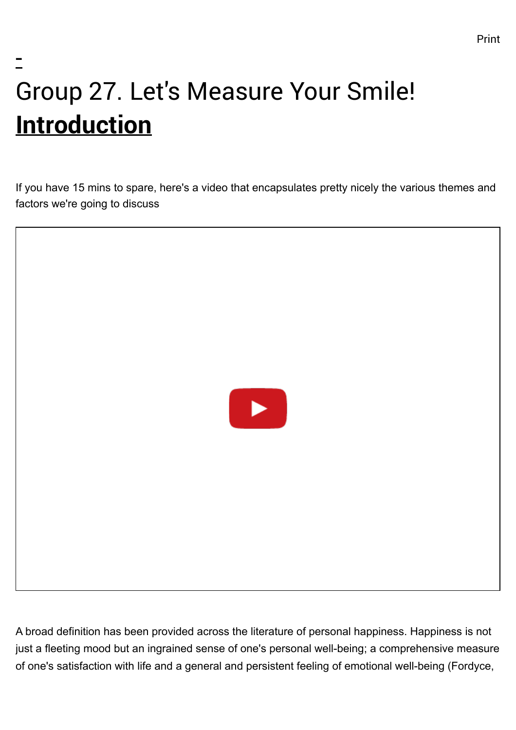## - Group 27. Let's Measure Your Smile! **Introduction**

If you have 15 mins to spare, here's a video that encapsulates pretty nicely the various themes and factors we're going to discuss



A broad definition has been provided across the literature of personal happiness. Happiness is not just a fleeting mood but an ingrained sense of one's personal well-being; a comprehensive measure of one's satisfaction with life and a general and persistent feeling of emotional well-being (Fordyce,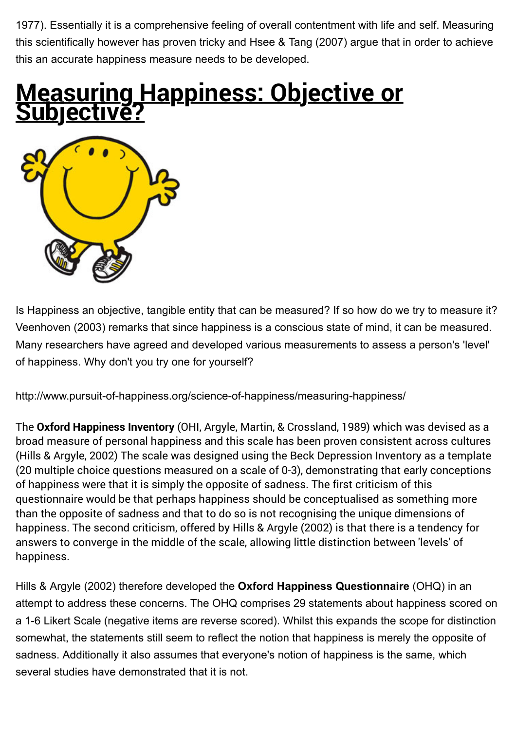1977). Essentially it is a comprehensive feeling of overall contentment with life and self. Measuring this scientifically however has proven tricky and Hsee & Tang (2007) argue that in order to achieve this an accurate happiness measure needs to be developed.

### **Measuring Happiness: Objective or bject**i



Is Happiness an objective, tangible entity that can be measured? If so how do we try to measure it? Veenhoven (2003) remarks that since happiness is a conscious state of mind, it can be measured. Many researchers have agreed and developed various measurements to assess a person's 'level' of happiness. Why don't you try one for yourself?

<http://www.pursuit-of-happiness.org/science-of-happiness/measuring-happiness/>

The **Oxford Happiness Inventory** (OHI, Argyle, Martin, & Crossland, 1989) which was devised as a broad measure of personal happiness and this scale has been proven consistent across cultures (Hills & Argyle, 2002) The scale was designed using the Beck Depression Inventory as a template (20 multiple choice questions measured on a scale of 0-3), demonstrating that early conceptions of happiness were that it is simply the opposite of sadness. The first criticism of this questionnaire would be that perhaps happiness should be conceptualised as something more than the opposite of sadness and that to do so is not recognising the unique dimensions of happiness. The second criticism, offered by Hills & Argyle (2002) is that there is a tendency for answers to converge in the middle of the scale, allowing little distinction between 'levels' of happiness.

Hills & Argyle (2002) therefore developed the **Oxford Happiness Questionnaire** (OHQ) in an attempt to address these concerns. The OHQ comprises 29 statements about happiness scored on a 1-6 Likert Scale (negative items are reverse scored). Whilst this expands the scope for distinction somewhat, the statements still seem to reflect the notion that happiness is merely the opposite of sadness. Additionally it also assumes that everyone's notion of happiness is the same, which several studies have demonstrated that it is not.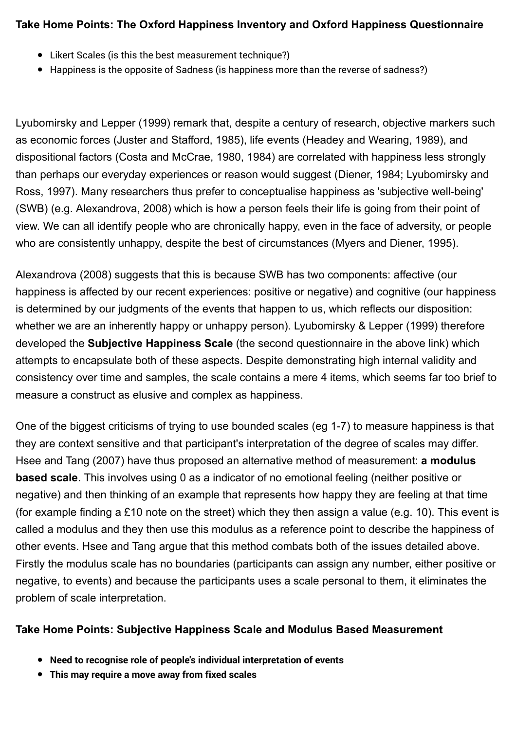#### **Take Home Points: The Oxford Happiness Inventory and Oxford Happiness Questionnaire**

- Likert Scales (is this the best measurement technique?)
- Happiness is the opposite of Sadness (is happiness more than the reverse of sadness?)

Lyubomirsky and Lepper (1999) remark that, despite a century of research, objective markers such as economic forces (Juster and Stafford, 1985), life events (Headey and Wearing, 1989), and dispositional factors (Costa and McCrae, 1980, 1984) are correlated with happiness less strongly than perhaps our everyday experiences or reason would suggest (Diener, 1984; Lyubomirsky and Ross, 1997). Many researchers thus prefer to conceptualise happiness as 'subjective well-being' (SWB) (e.g. Alexandrova, 2008) which is how a person feels their life is going from their point of view. We can all identify people who are chronically happy, even in the face of adversity, or people who are consistently unhappy, despite the best of circumstances (Myers and Diener, 1995).

Alexandrova (2008) suggests that this is because SWB has two components: affective (our happiness is affected by our recent experiences: positive or negative) and cognitive (our happiness is determined by our judgments of the events that happen to us, which reflects our disposition: whether we are an inherently happy or unhappy person). Lyubomirsky & Lepper (1999) therefore developed the **Subjective Happiness Scale** (the second questionnaire in the above link) which attempts to encapsulate both of these aspects. Despite demonstrating high internal validity and consistency over time and samples, the scale contains a mere 4 items, which seems far too brief to measure a construct as elusive and complex as happiness.

One of the biggest criticisms of trying to use bounded scales (eg 1-7) to measure happiness is that they are context sensitive and that participant's interpretation of the degree of scales may differ. Hsee and Tang (2007) have thus proposed an alternative method of measurement: **a modulus based scale**. This involves using 0 as a indicator of no emotional feeling (neither positive or negative) and then thinking of an example that represents how happy they are feeling at that time (for example finding a £10 note on the street) which they then assign a value (e.g. 10). This event is called a modulus and they then use this modulus as a reference point to describe the happiness of other events. Hsee and Tang argue that this method combats both of the issues detailed above. Firstly the modulus scale has no boundaries (participants can assign any number, either positive or negative, to events) and because the participants uses a scale personal to them, it eliminates the problem of scale interpretation.

#### **Take Home Points: Subjective Happiness Scale and Modulus Based Measurement**

- **Need to recognise role of people's individual interpretation of events**
- **This may require a move away from fixed scales**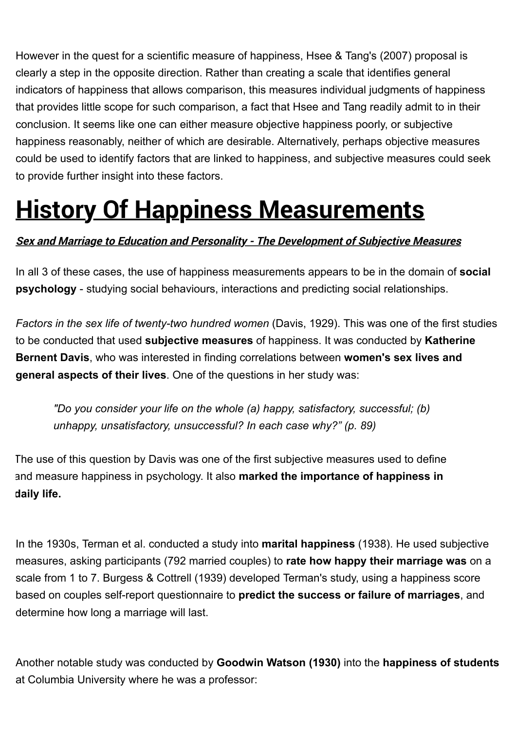However in the quest for a scientific measure of happiness, Hsee & Tang's (2007) proposal is clearly a step in the opposite direction. Rather than creating a scale that identifies general indicators of happiness that allows comparison, this measures individual judgments of happiness that provides little scope for such comparison, a fact that Hsee and Tang readily admit to in their conclusion. It seems like one can either measure objective happiness poorly, or subjective happiness reasonably, neither of which are desirable. Alternatively, perhaps objective measures could be used to identify factors that are linked to happiness, and subjective measures could seek to provide further insight into these factors.

### **History Of Happiness Measurements**

#### **Sex and Marriage to Education and Personality - The Development of Subjective Measures**

In all 3 of these cases, the use of happiness measurements appears to be in the domain of **social psychology** - studying social behaviours, interactions and predicting social relationships.

*Factors in the sex life of twenty-two hundred women* (Davis, 1929). This was one of the first studies to be conducted that used **subjective measures** of happiness. It was conducted by **Katherine Bernent Davis**, who was interested in finding correlations between **women's sex lives and general aspects of their lives**. One of the questions in her study was:

*"Do you consider your life on the whole (a) happy, satisfactory, successful; (b) unhappy, unsatisfactory, unsuccessful? In each case why?" (p. 89)*

The use of this question by Davis was one of the first subjective measures used to define and measure happiness in psychology. It also **marked the importance of happiness in daily life.**

In the 1930s, Terman et al. conducted a study into **marital happiness** (1938). He used subjective measures, asking participants (792 married couples) to **rate how happy their marriage was** on a scale from 1 to 7. Burgess & Cottrell (1939) developed Terman's study, using a happiness score based on couples self-report questionnaire to **predict the success or failure of marriages**, and determine how long a marriage will last.

Another notable study was conducted by **Goodwin Watson (1930)** into the **happiness of students** at Columbia University where he was a professor: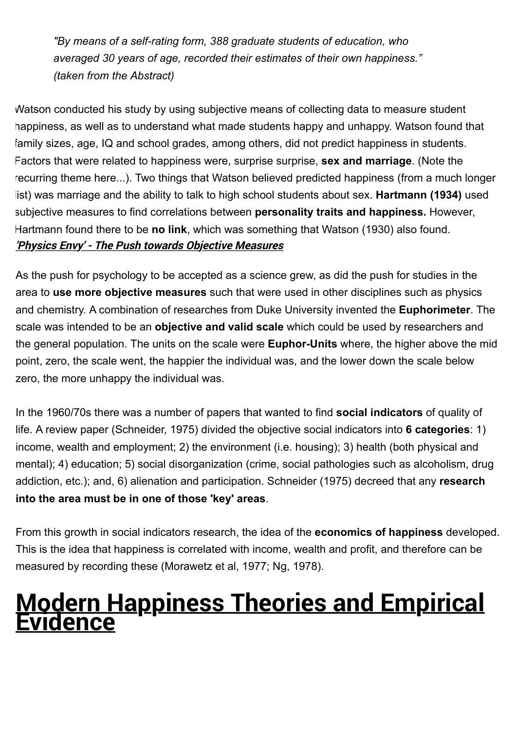*"By means of a self-rating form, 388 graduate students of education, who averaged 30 years of age, recorded their estimates of their own happiness." (taken from the Abstract)*

Watson conducted his study by using subjective means of collecting data to measure student happiness, as well as to understand what made students happy and unhappy. Watson found that family sizes, age, IQ and school grades, among others, did not predict happiness in students. Factors that were related to happiness were, surprise surprise, **sex and marriage**. (Note the recurring theme here...). Two things that Watson believed predicted happiness (from a much longer list) was marriage and the ability to talk to high school students about sex. **Hartmann (1934)** used subjective measures to find correlations between **personality traits and happiness.** However, Hartmann found there to be **no link**, which was something that Watson (1930) also found. **'Physics Envy' - The Push towards Objective Measures**

As the push for psychology to be accepted as a science grew, as did the push for studies in the area to **use more objective measures** such that were used in other disciplines such as physics and chemistry. A combination of researches from Duke University invented the **Euphorimeter**. The scale was intended to be an **objective and valid scale** which could be used by researchers and the general population. The units on the scale were **Euphor-Units** where, the higher above the mid point, zero, the scale went, the happier the individual was, and the lower down the scale below zero, the more unhappy the individual was.

In the 1960/70s there was a number of papers that wanted to find **social indicators** of quality of life. A review paper (Schneider, 1975) divided the objective social indicators into **6 categories**: 1) income, wealth and employment; 2) the environment (i.e. housing); 3) health (both physical and mental); 4) education; 5) social disorganization (crime, social pathologies such as alcoholism, drug addiction, etc.); and, 6) alienation and participation. Schneider (1975) decreed that any **research into the area must be in one of those 'key' areas**.

From this growth in social indicators research, the idea of the **economics of happiness** developed. This is the idea that happiness is correlated with income, wealth and profit, and therefore can be measured by recording these (Morawetz et al, 1977; Ng, 1978).

### **Modern Happiness Theories and Empirical Evidence**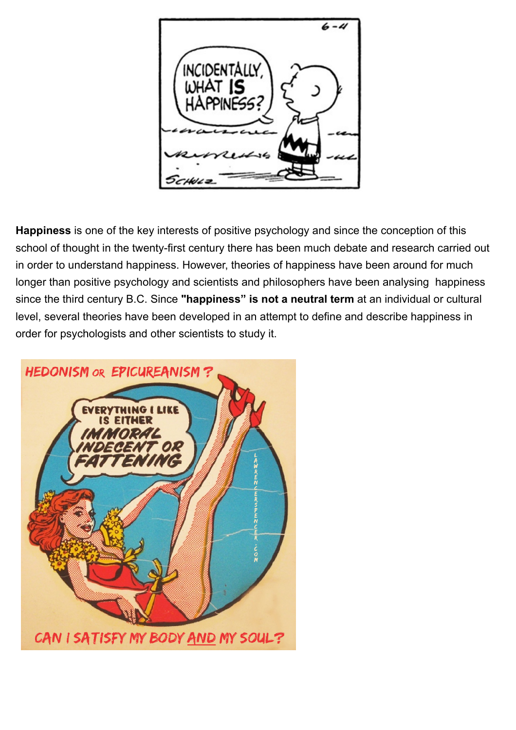

**Happiness** is one of the key interests of positive psychology and since the conception of this school of thought in the twenty-first century there has been much debate and research carried out in order to understand happiness. However, theories of happiness have been around for much longer than positive psychology and scientists and philosophers have been analysing happiness since the third century B.C. Since **"happiness" is not a neutral term** at an individual or cultural level, several theories have been developed in an attempt to define and describe happiness in order for psychologists and other scientists to study it.

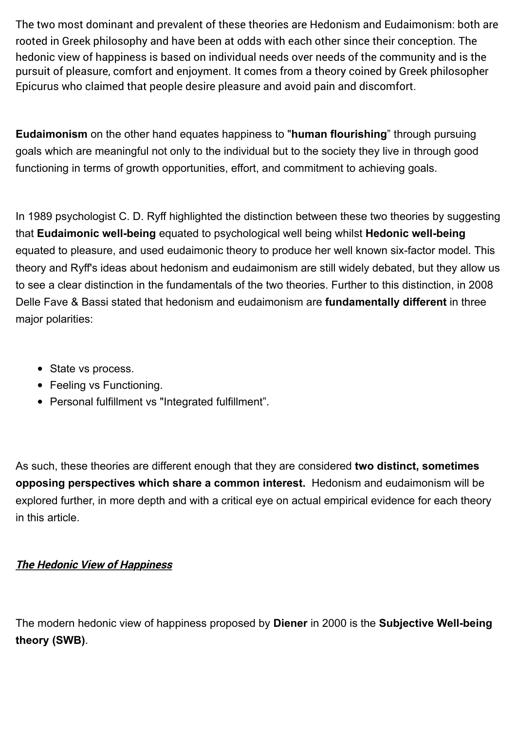The two most dominant and prevalent of these theories are Hedonism and Eudaimonism: both are rooted in Greek philosophy and have been at odds with each other since their conception. The hedonic view of happiness is based on individual needs over needs of the community and is the pursuit of pleasure, comfort and enjoyment. It comes from a theory coined by Greek philosopher Epicurus who claimed that people desire pleasure and avoid pain and discomfort.

**Eudaimonism** on the other hand equates happiness to "**human flourishing**" through pursuing goals which are meaningful not only to the individual but to the society they live in through good functioning in terms of growth opportunities, effort, and commitment to achieving goals.

In 1989 psychologist C. D. Ryff highlighted the distinction between these two theories by suggesting that **Eudaimonic well-being** equated to psychological well being whilst **Hedonic well-being** equated to pleasure, and used eudaimonic theory to produce her well known six-factor model. This theory and Ryff's ideas about hedonism and eudaimonism are still widely debated, but they allow us to see a clear distinction in the fundamentals of the two theories. Further to this distinction, in 2008 Delle Fave & Bassi stated that hedonism and eudaimonism are **fundamentally different** in three major polarities:

- State vs process.
- Feeling vs Functioning.
- Personal fulfillment vs "Integrated fulfillment".

As such, these theories are different enough that they are considered **two distinct, sometimes opposing perspectives which share a common interest.** Hedonism and eudaimonism will be explored further, in more depth and with a critical eye on actual empirical evidence for each theory in this article.

#### **The Hedonic View of Happiness**

The modern hedonic view of happiness proposed by **Diener** in 2000 is the **Subjective Well-being theory (SWB)**.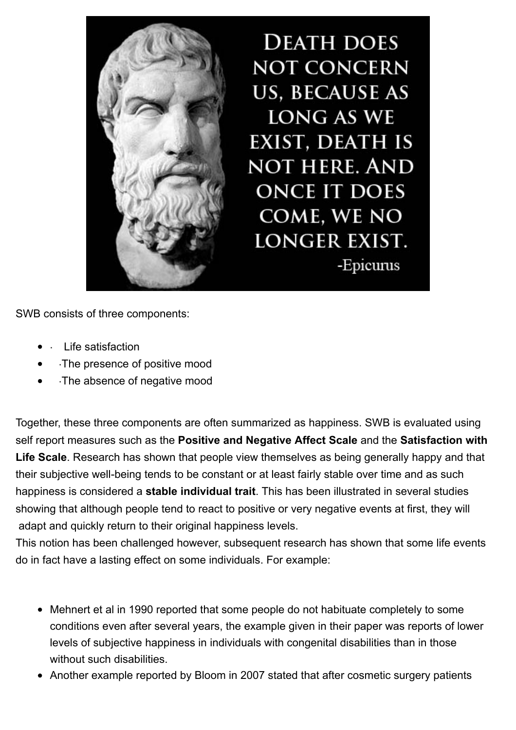

**DEATH DOES NOT CONCERN US, BECAUSE AS** LONG AS WE **EXIST, DEATH IS NOT HERE. AND ONCE IT DOES** COME, WE NO **LONGER EXIST.** -Epicurus

SWB consists of three components:

- Life satisfaction
- ·The presence of positive mood
- ·The absence of negative mood

Together, these three components are often summarized as happiness. SWB is evaluated using self report measures such as the **Positive and Negative Affect Scale** and the **Satisfaction with Life Scale**. Research has shown that people view themselves as being generally happy and that their subjective well-being tends to be constant or at least fairly stable over time and as such happiness is considered a **stable individual trait**. This has been illustrated in several studies showing that although people tend to react to positive or very negative events at first, they will adapt and quickly return to their original happiness levels.

This notion has been challenged however, subsequent research has shown that some life events do in fact have a lasting effect on some individuals. For example:

- Mehnert et al in 1990 reported that some people do not habituate completely to some conditions even after several years, the example given in their paper was reports of lower levels of subjective happiness in individuals with congenital disabilities than in those without such disabilities.
- Another example reported by Bloom in 2007 stated that after cosmetic surgery patients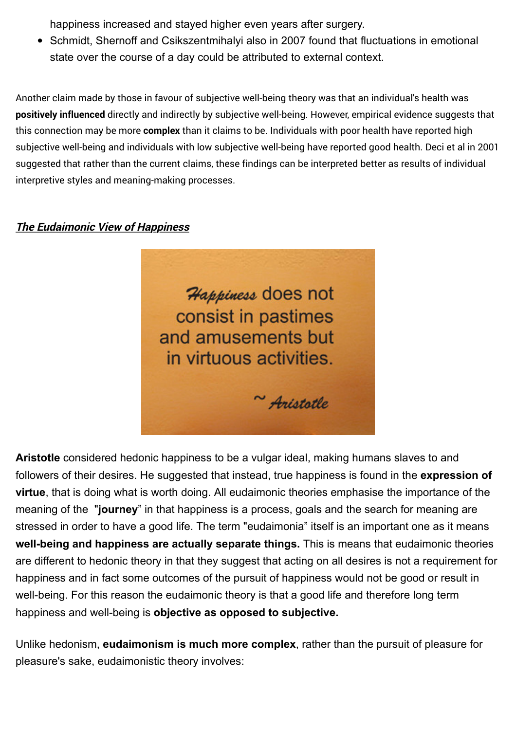happiness increased and stayed higher even years after surgery.

• Schmidt, Shernoff and Csikszentmihalyi also in 2007 found that fluctuations in emotional state over the course of a day could be attributed to external context.

Another claim made by those in favour of subjective well-being theory was that an individual's health was **positively influenced** directly and indirectly by subjective well-being. However, empirical evidence suggests that this connection may be more **complex** than it claims to be. Individuals with poor health have reported high subjective well-being and individuals with low subjective well-being have reported good health. Deci et al in 2001 suggested that rather than the current claims, these findings can be interpreted better as results of individual interpretive styles and meaning-making processes.

#### **The Eudaimonic View of Happiness**



**Aristotle** considered hedonic happiness to be a vulgar ideal, making humans slaves to and followers of their desires. He suggested that instead, true happiness is found in the **expression of virtue**, that is doing what is worth doing. All eudaimonic theories emphasise the importance of the meaning of the "**journey**" in that happiness is a process, goals and the search for meaning are stressed in order to have a good life. The term "eudaimonia" itself is an important one as it means **well-being and happiness are actually separate things.** This is means that eudaimonic theories are different to hedonic theory in that they suggest that acting on all desires is not a requirement for happiness and in fact some outcomes of the pursuit of happiness would not be good or result in well-being. For this reason the eudaimonic theory is that a good life and therefore long term happiness and well-being is **objective as opposed to subjective.** 

Unlike hedonism, **eudaimonism is much more complex**, rather than the pursuit of pleasure for pleasure's sake, eudaimonistic theory involves: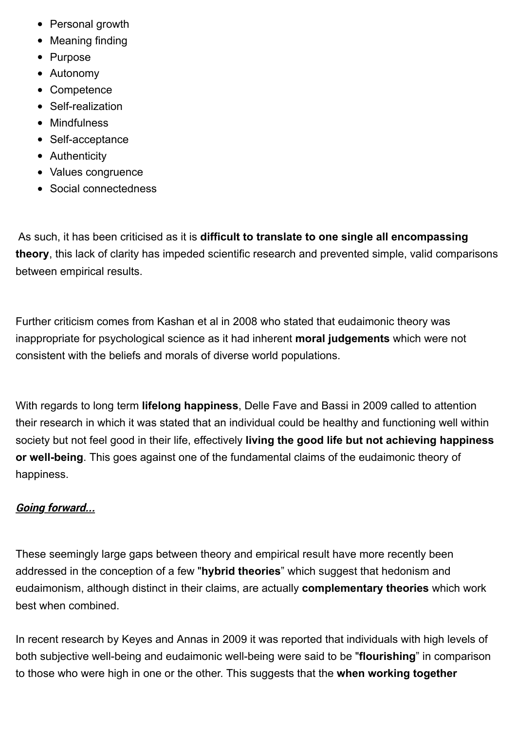- Personal growth
- Meaning finding
- Purpose
- Autonomy
- Competence
- Self-realization
- Mindfulness
- Self-acceptance
- Authenticity
- Values congruence
- Social connectedness

As such, it has been criticised as it is **difficult to translate to one single all encompassing theory**, this lack of clarity has impeded scientific research and prevented simple, valid comparisons between empirical results.

Further criticism comes from Kashan et al in 2008 who stated that eudaimonic theory was inappropriate for psychological science as it had inherent **moral judgements** which were not consistent with the beliefs and morals of diverse world populations.

With regards to long term **lifelong happiness**, Delle Fave and Bassi in 2009 called to attention their research in which it was stated that an individual could be healthy and functioning well within society but not feel good in their life, effectively **living the good life but not achieving happiness or well-being**. This goes against one of the fundamental claims of the eudaimonic theory of happiness.

#### **Going forward...**

These seemingly large gaps between theory and empirical result have more recently been addressed in the conception of a few "**hybrid theories**" which suggest that hedonism and eudaimonism, although distinct in their claims, are actually **complementary theories** which work best when combined.

In recent research by Keyes and Annas in 2009 it was reported that individuals with high levels of both subjective well-being and eudaimonic well-being were said to be "**flourishing**" in comparison to those who were high in one or the other. This suggests that the **when working together**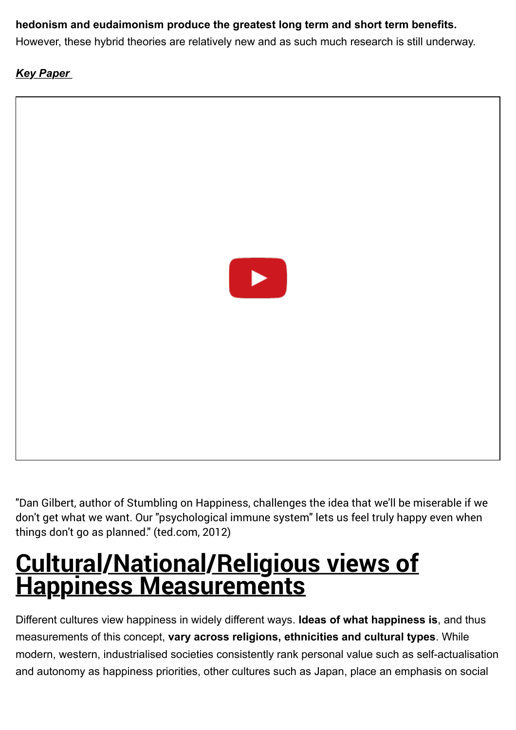#### **hedonism and eudaimonism produce the greatest long term and short term benefits.**

However, these hybrid theories are relatively new and as such much research is still underway.

#### *Key Paper*



"Dan Gilbert, author of Stumbling on Happiness, challenges the idea that we'll be miserable if we don't get what we want. Our "psychological immune system" lets us feel truly happy even when things don't go as planned." (ted.com, 2012)

### **Cultural/National/Religious views of Happiness Measurements**

Different cultures view happiness in widely different ways. **Ideas of what happiness is**, and thus measurements of this concept, **vary across religions, ethnicities and cultural types**. While modern, western, industrialised societies consistently rank personal value such as self-actualisation and autonomy as happiness priorities, other cultures such as Japan, place an emphasis on social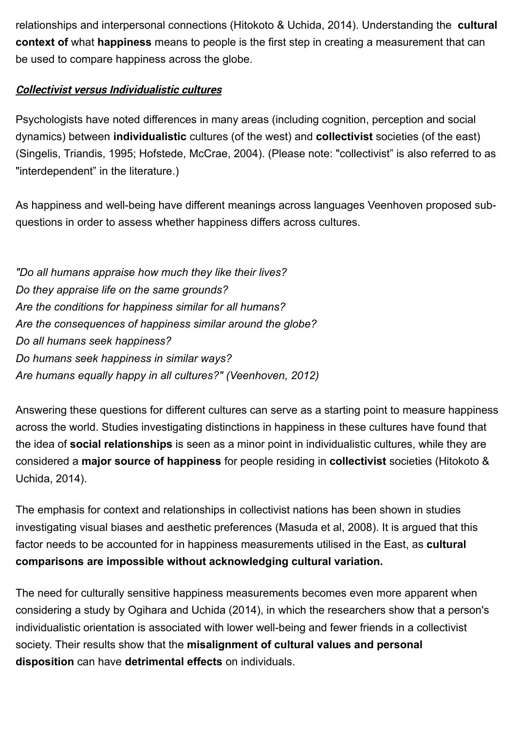relationships and interpersonal connections (Hitokoto & Uchida, 2014). Understanding the **cultural context of** what **happiness** means to people is the first step in creating a measurement that can be used to compare happiness across the globe.

#### **Collectivist versus Individualistic cultures**

Psychologists have noted differences in many areas (including cognition, perception and social dynamics) between **individualistic** cultures (of the west) and **collectivist** societies (of the east) (Singelis, Triandis, 1995; Hofstede, McCrae, 2004). (Please note: "collectivist" is also referred to as "interdependent" in the literature.)

As happiness and well-being have different meanings across languages Veenhoven proposed subquestions in order to assess whether happiness differs across cultures.

*"Do all humans appraise how much they like their lives? Do they appraise life on the same grounds? Are the conditions for happiness similar for all humans? Are the consequences of happiness similar around the globe? Do all humans seek happiness? Do humans seek happiness in similar ways? Are humans equally happy in all cultures?" (Veenhoven, 2012)*

Answering these questions for different cultures can serve as a starting point to measure happiness across the world. Studies investigating distinctions in happiness in these cultures have found that the idea of **social relationships** is seen as a minor point in individualistic cultures, while they are considered a **major source of happiness** for people residing in **collectivist** societies (Hitokoto & Uchida, 2014).

The emphasis for context and relationships in collectivist nations has been shown in studies investigating visual biases and aesthetic preferences (Masuda et al, 2008). It is argued that this factor needs to be accounted for in happiness measurements utilised in the East, as **cultural comparisons are impossible without acknowledging cultural variation.**

The need for culturally sensitive happiness measurements becomes even more apparent when considering a study by Ogihara and Uchida (2014), in which the researchers show that a person's individualistic orientation is associated with lower well-being and fewer friends in a collectivist society. Their results show that the **misalignment of cultural values and personal disposition** can have **detrimental effects** on individuals.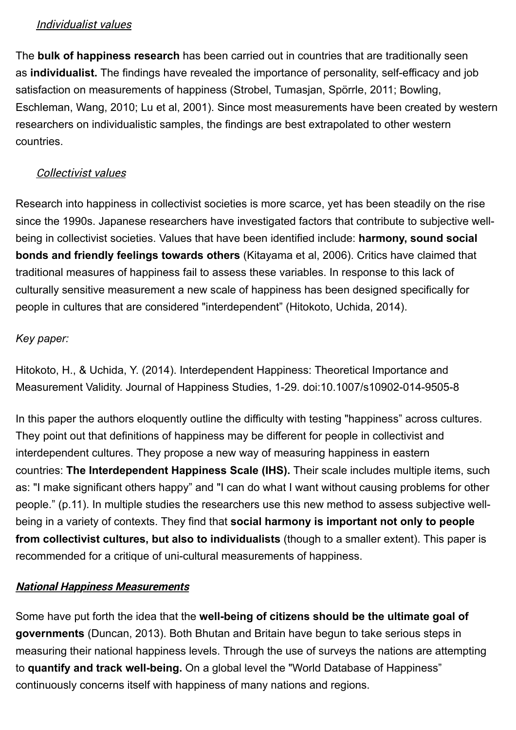#### Individualist values

The **bulk of happiness research** has been carried out in countries that are traditionally seen as **individualist.** The findings have revealed the importance of personality, self-efficacy and job satisfaction on measurements of happiness (Strobel, Tumasjan, Spörrle, 2011; Bowling, Eschleman, Wang, 2010; Lu et al, 2001). Since most measurements have been created by western researchers on individualistic samples, the findings are best extrapolated to other western countries.

#### Collectivist values

Research into happiness in collectivist societies is more scarce, yet has been steadily on the rise since the 1990s. Japanese researchers have investigated factors that contribute to subjective wellbeing in collectivist societies. Values that have been identified include: **harmony, sound social bonds and friendly feelings towards others** (Kitayama et al, 2006). Critics have claimed that traditional measures of happiness fail to assess these variables. In response to this lack of culturally sensitive measurement a new scale of happiness has been designed specifically for people in cultures that are considered "interdependent" (Hitokoto, Uchida, 2014).

#### *Key paper:*

Hitokoto, H., & Uchida, Y. (2014). Interdependent Happiness: Theoretical Importance and Measurement Validity. Journal of Happiness Studies, 1-29. doi:10.1007/s10902-014-9505-8

In this paper the authors eloquently outline the difficulty with testing "happiness" across cultures. They point out that definitions of happiness may be different for people in collectivist and interdependent cultures. They propose a new way of measuring happiness in eastern countries: **The Interdependent Happiness Scale (IHS).** Their scale includes multiple items, such as: "I make significant others happy" and "I can do what I want without causing problems for other people." (p.11). In multiple studies the researchers use this new method to assess subjective wellbeing in a variety of contexts. They find that **social harmony is important not only to people from collectivist cultures, but also to individualists** (though to a smaller extent). This paper is recommended for a critique of uni-cultural measurements of happiness.

#### **National Happiness Measurements**

Some have put forth the idea that the **well-being of citizens should be the ultimate goal of governments** (Duncan, 2013). Both Bhutan and Britain have begun to take serious steps in measuring their national happiness levels. Through the use of surveys the nations are attempting to **quantify and track well-being.** On a global level the "World Database of Happiness" continuously concerns itself with happiness of many nations and regions.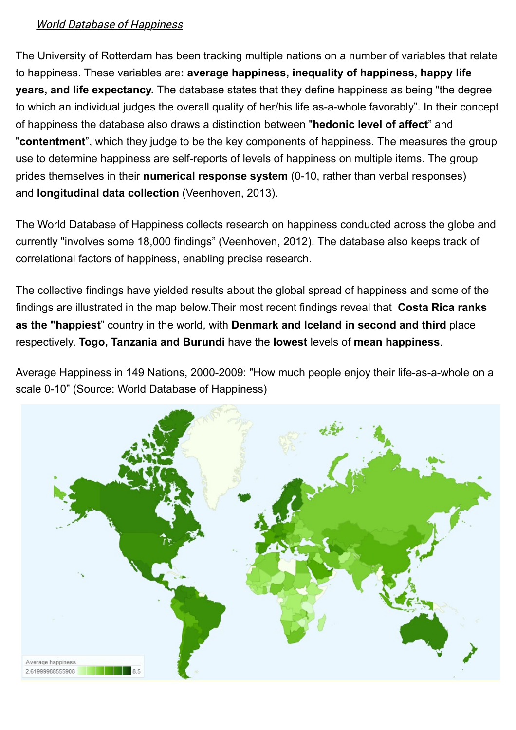#### World Database of Happiness

The University of Rotterdam has been tracking multiple nations on a number of variables that relate to happiness. These variables are**: average happiness, inequality of happiness, happy life years, and life expectancy.** The database states that they define happiness as being "the degree to which an individual judges the overall quality of her/his life as-a-whole favorably". In their concept of happiness the database also draws a distinction between "**hedonic level of affect**" and "**contentment**", which they judge to be the key components of happiness. The measures the group use to determine happiness are self-reports of levels of happiness on multiple items. The group prides themselves in their **numerical response system** (0-10, rather than verbal responses) and **longitudinal data collection** (Veenhoven, 2013).

The World Database of Happiness collects research on happiness conducted across the globe and currently "involves some 18,000 findings" (Veenhoven, 2012). The database also keeps track of correlational factors of happiness, enabling precise research.

The collective findings have yielded results about the global spread of happiness and some of the findings are illustrated in the map below.Their most recent findings reveal that **Costa Rica ranks as the "happiest**" country in the world, with **Denmark and Iceland in second and third** place respectively. **Togo, Tanzania and Burundi** have the **lowest** levels of **mean happiness**.

Average Happiness in 149 Nations, 2000-2009: "How much people enjoy their life-as-a-whole on a scale 0-10" (Source: World Database of Happiness)

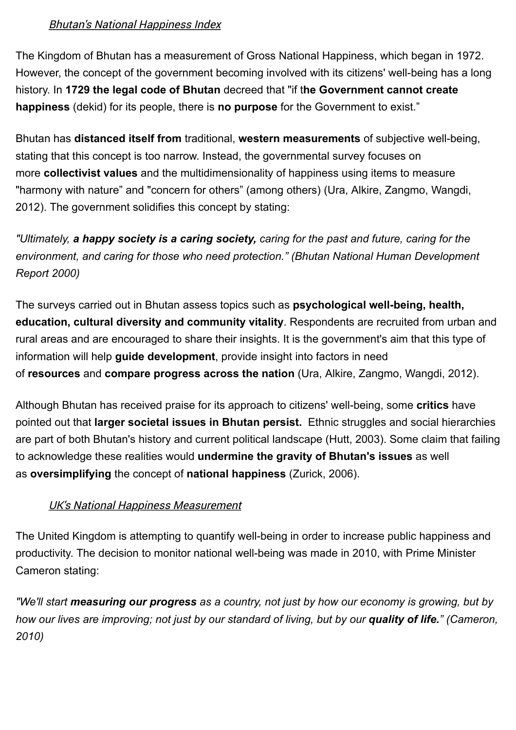#### Bhutan's National Happiness Index

The Kingdom of Bhutan has a measurement of Gross National Happiness, which began in 1972. However, the concept of the government becoming involved with its citizens' well-being has a long history. In **1729 the legal code of Bhutan** decreed that "if t**he Government cannot create happiness** (dekid) for its people, there is **no purpose** for the Government to exist."

Bhutan has **distanced itself from** traditional, **western measurements** of subjective well-being, stating that this concept is too narrow. Instead, the governmental survey focuses on more **collectivist values** and the multidimensionality of happiness using items to measure "harmony with nature" and "concern for others" (among others) (Ura, Alkire, Zangmo, Wangdi, 2012). The government solidifies this concept by stating:

*"Ultimately, a happy society is a caring society, caring for the past and future, caring for the environment, and caring for those who need protection." (Bhutan National Human Development Report 2000)*

The surveys carried out in Bhutan assess topics such as **psychological well-being, health, education, cultural diversity and community vitality**. Respondents are recruited from urban and rural areas and are encouraged to share their insights. It is the government's aim that this type of information will help **guide development**, provide insight into factors in need of **resources** and **compare progress across the nation** (Ura, Alkire, Zangmo, Wangdi, 2012).

Although Bhutan has received praise for its approach to citizens' well-being, some **critics** have pointed out that **larger societal issues in Bhutan persist.** Ethnic struggles and social hierarchies are part of both Bhutan's history and current political landscape (Hutt, 2003). Some claim that failing to acknowledge these realities would **undermine the gravity of Bhutan's issues** as well as **oversimplifying** the concept of **national happiness** (Zurick, 2006).

#### UK's National Happiness Measurement

The United Kingdom is attempting to quantify well-being in order to increase public happiness and productivity. The decision to monitor national well-being was made in 2010, with Prime Minister Cameron stating:

*"We'll start measuring our progress as a country, not just by how our economy is growing, but by how our lives are improving; not just by our standard of living, but by our quality of life." (Cameron, 2010)*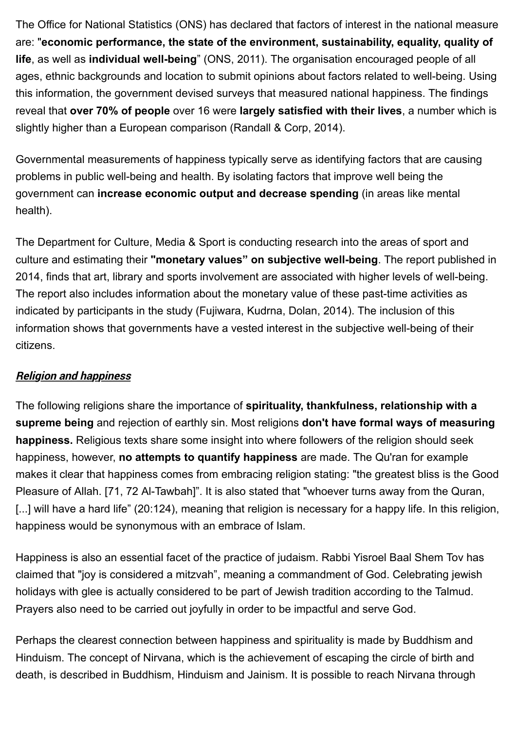The Office for National Statistics (ONS) has declared that factors of interest in the national measure are: "**economic performance, the state of the environment, sustainability, equality, quality of life**, as well as **individual well-being**" (ONS, 2011). The organisation encouraged people of all ages, ethnic backgrounds and location to submit opinions about factors related to well-being. Using this information, the government devised surveys that measured national happiness. The findings reveal that **over 70% of people** over 16 were **largely satisfied with their lives**, a number which is slightly higher than a European comparison (Randall & Corp, 2014).

Governmental measurements of happiness typically serve as identifying factors that are causing problems in public well-being and health. By isolating factors that improve well being the government can **increase economic output and decrease spending** (in areas like mental health).

The Department for Culture, Media & Sport is conducting research into the areas of sport and culture and estimating their **"monetary values" on subjective well-being**. The report published in 2014, finds that art, library and sports involvement are associated with higher levels of well-being. The report also includes information about the monetary value of these past-time activities as indicated by participants in the study (Fujiwara, Kudrna, Dolan, 2014). The inclusion of this information shows that governments have a vested interest in the subjective well-being of their citizens.

#### **Religion and happiness**

The following religions share the importance of **spirituality, thankfulness, relationship with a supreme being** and rejection of earthly sin. Most religions **don't have formal ways of measuring happiness.** Religious texts share some insight into where followers of the religion should seek happiness, however, **no attempts to quantify happiness** are made. The Qu'ran for example makes it clear that happiness comes from embracing religion stating: "the greatest bliss is the Good Pleasure of Allah. [71, 72 Al-Tawbah]". It is also stated that "whoever turns away from the Quran, [...] will have a hard life" (20:124), meaning that religion is necessary for a happy life. In this religion, happiness would be synonymous with an embrace of Islam.

Happiness is also an essential facet of the practice of judaism. Rabbi Yisroel Baal Shem Tov has claimed that "joy is considered a mitzvah", meaning a commandment of God. Celebrating jewish holidays with glee is actually considered to be part of Jewish tradition according to the Talmud. Prayers also need to be carried out joyfully in order to be impactful and serve God.

Perhaps the clearest connection between happiness and spirituality is made by Buddhism and Hinduism. The concept of Nirvana, which is the achievement of escaping the circle of birth and death, is described in Buddhism, Hinduism and Jainism. It is possible to reach Nirvana through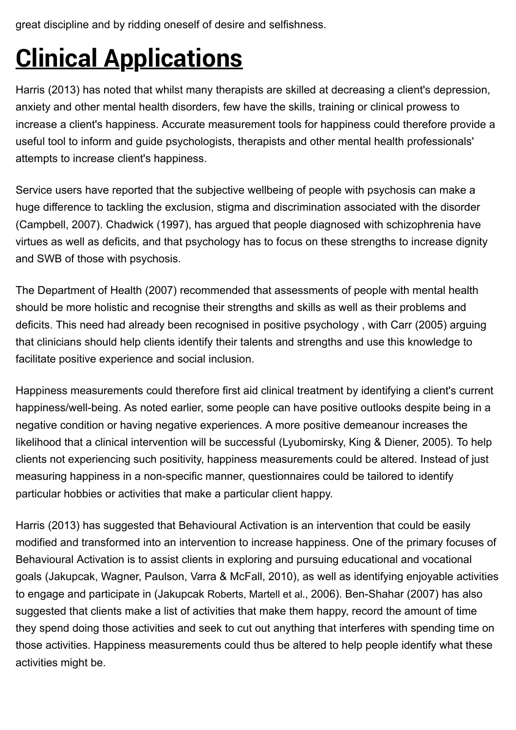great discipline and by ridding oneself of desire and selfishness.

# **Clinical Applications**

Harris (2013) has noted that whilst many therapists are skilled at decreasing a client's depression, anxiety and other mental health disorders, few have the skills, training or clinical prowess to increase a client's happiness. Accurate measurement tools for happiness could therefore provide a useful tool to inform and guide psychologists, therapists and other mental health professionals' attempts to increase client's happiness.

Service users have reported that the subjective wellbeing of people with psychosis can make a huge difference to tackling the exclusion, stigma and discrimination associated with the disorder (Campbell, 2007). Chadwick (1997), has argued that people diagnosed with schizophrenia have virtues as well as deficits, and that psychology has to focus on these strengths to increase dignity and SWB of those with psychosis.

The Department of Health (2007) recommended that assessments of people with mental health should be more holistic and recognise their strengths and skills as well as their problems and deficits. This need had already been recognised in positive psychology , with Carr (2005) arguing that clinicians should help clients identify their talents and strengths and use this knowledge to facilitate positive experience and social inclusion.

Happiness measurements could therefore first aid clinical treatment by identifying a client's current happiness/well-being. As noted earlier, some people can have positive outlooks despite being in a negative condition or having negative experiences. A more positive demeanour increases the likelihood that a clinical intervention will be successful (Lyubomirsky, King & Diener, 2005). To help clients not experiencing such positivity, happiness measurements could be altered. Instead of just measuring happiness in a non-specific manner, questionnaires could be tailored to identify particular hobbies or activities that make a particular client happy.

Harris (2013) has suggested that Behavioural Activation is an intervention that could be easily modified and transformed into an intervention to increase happiness. One of the primary focuses of Behavioural Activation is to assist clients in exploring and pursuing educational and vocational goals (Jakupcak, Wagner, Paulson, Varra & McFall, 2010), as well as identifying enjoyable activities to engage and participate in (Jakupcak Roberts, Martell et al., 2006). Ben-Shahar (2007) has also suggested that clients make a list of activities that make them happy, record the amount of time they spend doing those activities and seek to cut out anything that interferes with spending time on those activities. Happiness measurements could thus be altered to help people identify what these activities might be.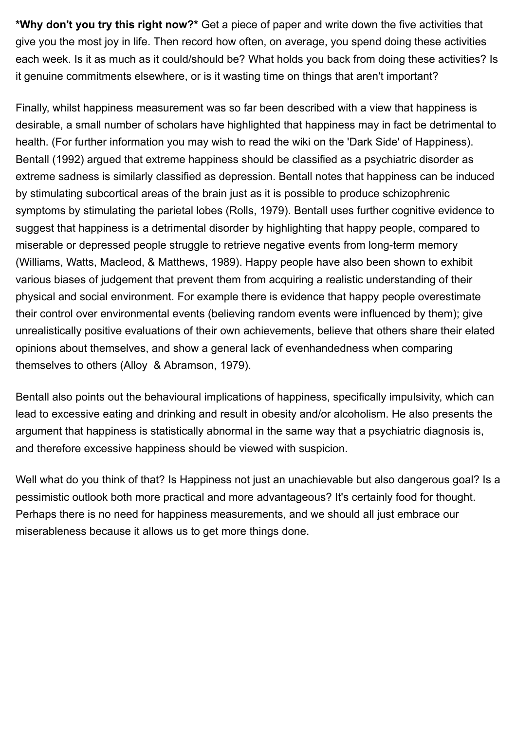**\*Why don't you try this right now?\*** Get a piece of paper and write down the five activities that give you the most joy in life. Then record how often, on average, you spend doing these activities each week. Is it as much as it could/should be? What holds you back from doing these activities? Is it genuine commitments elsewhere, or is it wasting time on things that aren't important?

Finally, whilst happiness measurement was so far been described with a view that happiness is desirable, a small number of scholars have highlighted that happiness may in fact be detrimental to health. (For further information you may wish to read the wiki on the 'Dark Side' of Happiness). Bentall (1992) argued that extreme happiness should be classified as a psychiatric disorder as extreme sadness is similarly classified as depression. Bentall notes that happiness can be induced by stimulating subcortical areas of the brain just as it is possible to produce schizophrenic symptoms by stimulating the parietal lobes (Rolls, 1979). Bentall uses further cognitive evidence to suggest that happiness is a detrimental disorder by highlighting that happy people, compared to miserable or depressed people struggle to retrieve negative events from long-term memory (Williams, Watts, Macleod, & Matthews, 1989). Happy people have also been shown to exhibit various biases of judgement that prevent them from acquiring a realistic understanding of their physical and social environment. For example there is evidence that happy people overestimate their control over environmental events (believing random events were influenced by them); give unrealistically positive evaluations of their own achievements, believe that others share their elated opinions about themselves, and show a general lack of evenhandedness when comparing themselves to others (Alloy & Abramson, 1979).

Bentall also points out the behavioural implications of happiness, specifically impulsivity, which can lead to excessive eating and drinking and result in obesity and/or alcoholism. He also presents the argument that happiness is statistically abnormal in the same way that a psychiatric diagnosis is, and therefore excessive happiness should be viewed with suspicion.

Well what do you think of that? Is Happiness not just an unachievable but also dangerous goal? Is a pessimistic outlook both more practical and more advantageous? It's certainly food for thought. Perhaps there is no need for happiness measurements, and we should all just embrace our miserableness because it allows us to get more things done.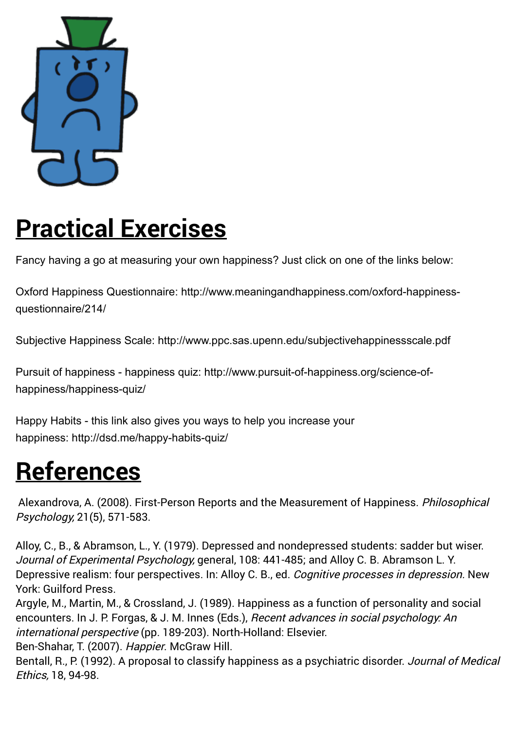

## **Practical Exercises**

Fancy having a go at measuring your own happiness? Just click on one of the links below:

[Oxford Happiness Questionnaire: http://www.meaningandhappiness.com/oxford-happiness](http://www.meaningandhappiness.com/oxford-happiness-questionnaire/214/)questionnaire/214/

Subjective Happiness Scale:<http://www.ppc.sas.upenn.edu/subjectivehappinessscale.pdf>

[Pursuit of happiness - happiness quiz: http://www.pursuit-of-happiness.org/science-of](http://www.pursuit-of-happiness.org/science-of-happiness/happiness-quiz/)happiness/happiness-quiz/

Happy Habits - this link also gives you ways to help you increase your happiness:<http://dsd.me/happy-habits-quiz/>

## **References**

Alexandrova, A. (2008). First-Person Reports and the Measurement of Happiness. Philosophical Psychology, 21(5), 571-583.

Alloy, C., B., & Abramson, L., Y. (1979). Depressed and nondepressed students: sadder but wiser. Journal of Experimental Psychology, general, 108: 441-485; and Alloy C. B. Abramson L. Y. Depressive realism: four perspectives. In: Alloy C. B., ed. Cognitive processes in depression. New York: Guilford Press.

Argyle, M., Martin, M., & Crossland, J. (1989). Happiness as a function of personality and social encounters. In J. P. Forgas, & J. M. Innes (Eds.), Recent advances in social psychology: An international perspective (pp. 189-203). North-Holland: Elsevier.

Ben-Shahar, T. (2007). Happier. McGraw Hill.

Bentall, R., P. (1992). A proposal to classify happiness as a psychiatric disorder. Journal of Medical Ethics, 18, 94-98.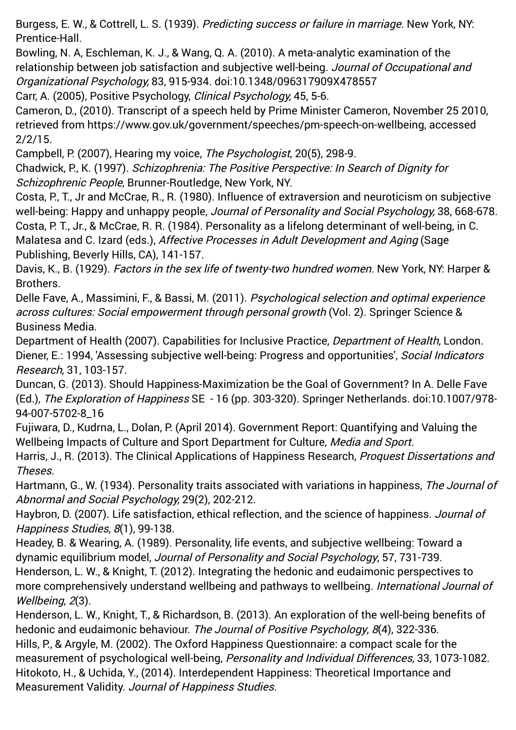Burgess, E. W., & Cottrell, L. S. (1939). Predicting success or failure in marriage. New York, NY: Prentice-Hall.

Bowling, N. A, Eschleman, K. J., & Wang, Q. A. (2010). A meta-analytic examination of the relationship between job satisfaction and subjective well-being. Journal of Occupational and Organizational Psychology, 83, 915-934. doi:10.1348/096317909X478557

Carr, A. (2005), Positive Psychology, Clinical Psychology, 45, 5-6.

Cameron, D., (2010). Transcript of a speech held by Prime Minister Cameron, November 25 2010, retrieved from [https://www.gov.uk/government/speeches/pm-speech-on-wellbeing,](https://www.gov.uk/government/speeches/pm-speech-on-wellbeing) accessed 2/2/15.

Campbell, P. (2007), Hearing my voice, The Psychologist, 20(5), 298-9.

Chadwick, P., K. (1997). Schizophrenia: The Positive Perspective: In Search of Dignity for Schizophrenic People, Brunner-Routledge, New York, NY.

Costa, P., T., Jr and McCrae, R., R. (1980). Influence of extraversion and neuroticism on subjective well-being: Happy and unhappy people, *Journal of Personality and Social Psychology*, 38, 668-678. Costa, P. T., Jr., & McCrae, R. R. (1984). Personality as a lifelong determinant of well-being, in C. Malatesa and C. Izard (eds.), Affective Processes in Adult Development and Aging (Sage Publishing, Beverly Hills, CA), 141-157.

Davis, K., B. (1929). Factors in the sex life of twenty-two hundred women. New York, NY: Harper & Brothers.

Delle Fave, A., Massimini, F., & Bassi, M. (2011). Psychological selection and optimal experience across cultures: Social empowerment through personal growth (Vol. 2). Springer Science & Business Media.

Department of Health (2007). Capabilities for Inclusive Practice, *Department of Health*, London. Diener, E.: 1994, 'Assessing subjective well-being: Progress and opportunities', Social Indicators Research, 31, 103-157.

Duncan, G. (2013). Should Happiness-Maximization be the Goal of Government? In A. Delle Fave (Ed.), The Exploration of Happiness SE - 16 (pp. 303-320). Springer Netherlands. doi:10.1007/978- 94-007-5702-8\_16

Fujiwara, D., Kudrna, L., Dolan, P. (April 2014). Government Report: Quantifying and Valuing the Wellbeing Impacts of Culture and Sport Department for Culture, Media and Sport.

Harris, J., R. (2013). The Clinical Applications of Happiness Research, *Proquest Dissertations and* Theses.

Hartmann, G., W. (1934). Personality traits associated with variations in happiness, The Journal of Abnormal and Social Psychology, 29(2), 202-212.

Haybron, D. (2007). Life satisfaction, ethical reflection, and the science of happiness. Journal of Happiness Studies, 8(1), 99-138.

Headey, B. & Wearing, A. (1989). Personality, life events, and subjective wellbeing: Toward a dynamic equilibrium model, Journal of Personality and Social Psychology, 57, 731-739.

Henderson, L. W., & Knight, T. (2012). Integrating the hedonic and eudaimonic perspectives to more comprehensively understand wellbeing and pathways to wellbeing. International Journal of Wellbeing, 2(3).

Henderson, L. W., Knight, T., & Richardson, B. (2013). An exploration of the well-being benefits of hedonic and eudaimonic behaviour. The Journal of Positive Psychology, 8(4), 322-336.

Hills, P., & Argyle, M. (2002). The Oxford Happiness Questionnaire: a compact scale for the measurement of psychological well-being, Personality and Individual Differences, 33, 1073-1082. Hitokoto, H., & Uchida, Y., (2014). Interdependent Happiness: Theoretical Importance and Measurement Validity. Journal of Happiness Studies.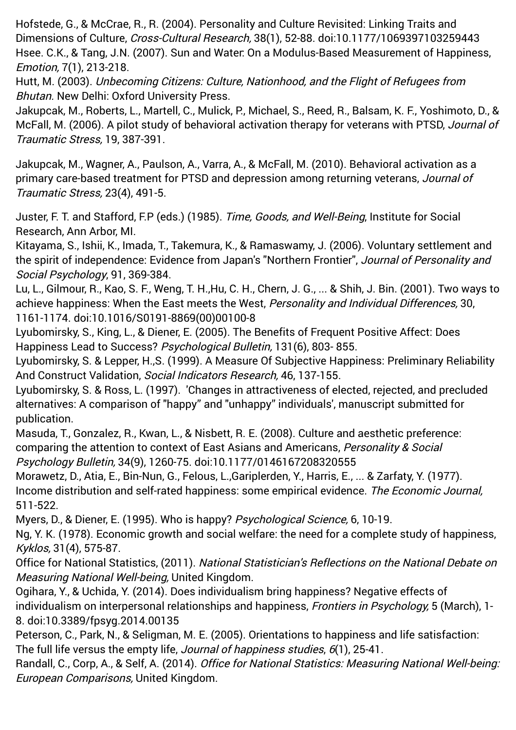Hofstede, G., & McCrae, R., R. (2004). Personality and Culture Revisited: Linking Traits and Dimensions of Culture, Cross-Cultural Research, 38(1), 52-88. doi:10.1177/1069397103259443 Hsee. C.K., & Tang, J.N. (2007). Sun and Water: On a Modulus-Based Measurement of Happiness, Emotion, 7(1), 213-218.

Hutt, M. (2003). Unbecoming Citizens: Culture, Nationhood, and the Flight of Refugees from Bhutan. New Delhi: Oxford University Press.

Jakupcak, M., Roberts, L., Martell, C., Mulick, P., Michael, S., Reed, R., Balsam, K. F., Yoshimoto, D., & McFall, M. (2006). A pilot study of behavioral activation therapy for veterans with PTSD, Journal of Traumatic Stress, 19, 387-391.

[Jakupcak, M.](http://www.ncbi.nlm.nih.gov/pubmed/?term=Jakupcak%20M%5BAuthor%5D&cauthor=true&cauthor_uid=20623596), [Wagner, A.](http://www.ncbi.nlm.nih.gov/pubmed/?term=Wagner%20A%5BAuthor%5D&cauthor=true&cauthor_uid=20623596), [Paulson, A.](http://www.ncbi.nlm.nih.gov/pubmed/?term=Paulson%20A%5BAuthor%5D&cauthor=true&cauthor_uid=20623596), Varra, A., & [McFall, M.](http://www.ncbi.nlm.nih.gov/pubmed/?term=McFall%20M%5BAuthor%5D&cauthor=true&cauthor_uid=20623596) (2010). Behavioral activation as a [primary care-based treatment for PTSD and depression among returning veterans,](http://www.ncbi.nlm.nih.gov/pubmed/20623596) Journal of Traumatic Stress, 23(4), 491-5.

Juster, F. T. and Stafford, F.P (eds.) (1985). Time, Goods, and Well-Being, Institute for Social Research, Ann Arbor, MI.

Kitayama, S., Ishii, K., Imada, T., Takemura, K., & Ramaswamy, J. (2006). Voluntary settlement and the spirit of independence: Evidence from Japan's "Northern Frontier", Journal of Personality and Social Psychology, 91, 369-384.

Lu, L., Gilmour, R., Kao, S. F., Weng, T. H.,Hu, C. H., Chern, J. G., ... & Shih, J. Bin. (2001). Two ways to achieve happiness: When the East meets the West, Personality and Individual Differences, 30, 1161-1174. doi:10.1016/S0191-8869(00)00100-8

Lyubomirsky, S., King, L., & Diener, E. (2005). The Benefits of Frequent Positive Affect: Does Happiness Lead to Success? Psychological Bulletin, 131(6), 803- 855.

Lyubomirsky, S. & Lepper, H.,S. (1999). A Measure Of Subjective Happiness: Preliminary Reliability And Construct Validation, Social Indicators Research, 46, 137-155.

Lyubomirsky, S. & Ross, L. (1997). 'Changes in attractiveness of elected, rejected, and precluded alternatives: A comparison of "happy" and "unhappy" individuals', manuscript submitted for publication.

Masuda, T., Gonzalez, R., Kwan, L., & Nisbett, R. E. (2008). Culture and aesthetic preference: comparing the attention to context of East Asians and Americans, Personality & Social Psychology Bulletin, 34(9), 1260-75. doi:10.1177/0146167208320555

Morawetz, D., Atia, E., Bin-Nun, G., Felous, L.,Gariplerden, Y., Harris, E., ... & Zarfaty, Y. (1977). Income distribution and self-rated happiness: some empirical evidence. The Economic Journal, 511-522.

Myers, D., & Diener, E. (1995). Who is happy? Psychological Science, 6, 10-19.

Ng, Y. K. (1978). Economic growth and social welfare: the need for a complete study of happiness, Kyklos, 31(4), 575-87.

Office for National Statistics, (2011). National Statistician's Reflections on the National Debate on Measuring National Well-being, United Kingdom.

Ogihara, Y., & Uchida, Y. (2014). Does individualism bring happiness? Negative effects of individualism on interpersonal relationships and happiness, Frontiers in Psychology, 5 (March), 1-8. doi:10.3389/fpsyg.2014.00135

Peterson, C., Park, N., & Seligman, M. E. (2005). Orientations to happiness and life satisfaction: The full life versus the empty life, *Journal of happiness studies*, 6(1), 25-41.

Randall, C., Corp, A., & Self, A. (2014). Office for National Statistics: Measuring National Well-being: European Comparisons, United Kingdom.